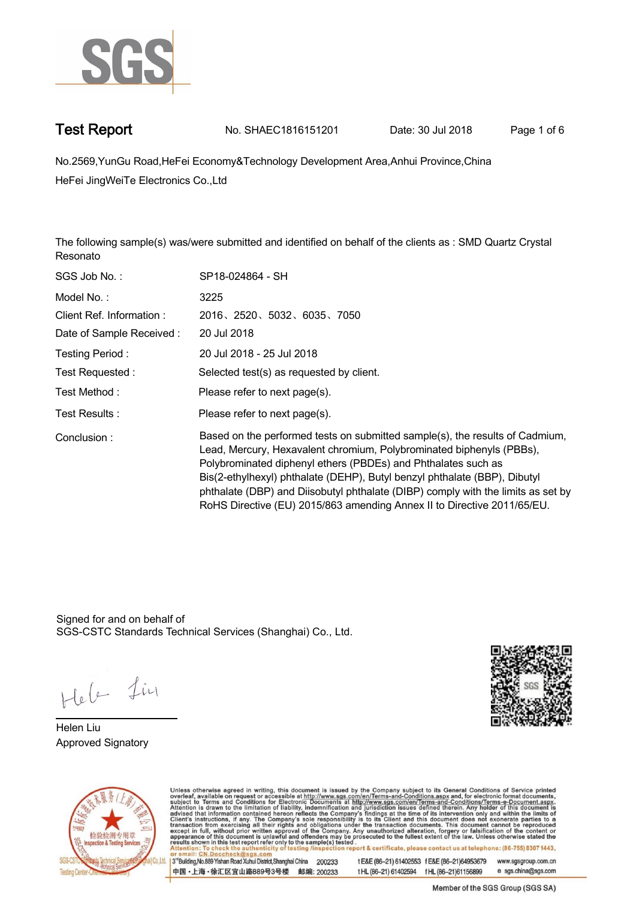

**Test Report. No. SHAEC1816151201** Date: 30 Jul 2018 Page 1 of 6

**No.2569,YunGu Road,HeFei Economy&Technology Development Area,Anhui Province,China . HeFei JingWeiTe Electronics Co.,Ltd**

**The following sample(s) was/were submitted and identified on behalf of the clients as : SMD Quartz Crystal Resonato.**

| SGS Job No.:             | SP18-024864 - SH                                                                                                                                                                                                                                                                                                                                                                                                                                                  |
|--------------------------|-------------------------------------------------------------------------------------------------------------------------------------------------------------------------------------------------------------------------------------------------------------------------------------------------------------------------------------------------------------------------------------------------------------------------------------------------------------------|
| Model No.:               | 3225                                                                                                                                                                                                                                                                                                                                                                                                                                                              |
| Client Ref. Information: | 2016, 2520, 5032, 6035, 7050                                                                                                                                                                                                                                                                                                                                                                                                                                      |
| Date of Sample Received: | 20 Jul 2018                                                                                                                                                                                                                                                                                                                                                                                                                                                       |
| Testing Period:          | 20 Jul 2018 - 25 Jul 2018                                                                                                                                                                                                                                                                                                                                                                                                                                         |
| Test Requested :         | Selected test(s) as requested by client.                                                                                                                                                                                                                                                                                                                                                                                                                          |
| Test Method :            | Please refer to next page(s).                                                                                                                                                                                                                                                                                                                                                                                                                                     |
| Test Results:            | Please refer to next page(s).                                                                                                                                                                                                                                                                                                                                                                                                                                     |
| Conclusion:              | Based on the performed tests on submitted sample(s), the results of Cadmium,<br>Lead, Mercury, Hexavalent chromium, Polybrominated biphenyls (PBBs),<br>Polybrominated diphenyl ethers (PBDEs) and Phthalates such as<br>Bis(2-ethylhexyl) phthalate (DEHP), Butyl benzyl phthalate (BBP), Dibutyl<br>phthalate (DBP) and Diisobutyl phthalate (DIBP) comply with the limits as set by<br>RoHS Directive (EU) 2015/863 amending Annex II to Directive 2011/65/EU. |

Signed for and on behalf of SGS-CSTC Standards Technical Services (Shanghai) Co., Ltd..

Hele Lin

**Helen Liu. Approved Signatory .**





Unless otherwise agreed in writing, this document is issued by the Company subject to its General Conditions of Service printed overleaf, available on request or accessible at http://www.sgs.com/en/Terms-and-Conditions.asp ion report & certificate, please contact us at telephone: (86-755) 8307 1443, testing /insp www.sgsgroup.com.cn

3<sup>rd</sup>Building, No.889 Yishan Road Xuhui District, Shanghai China 200233 中国·上海·徐汇区宜山路889号3号楼 邮编: 200233 t E&E (86-21) 61402553 f E&E (86-21)64953679 t HL (86-21) 61402594 f HL (86-21) 61156899 e sgs.china@sgs.com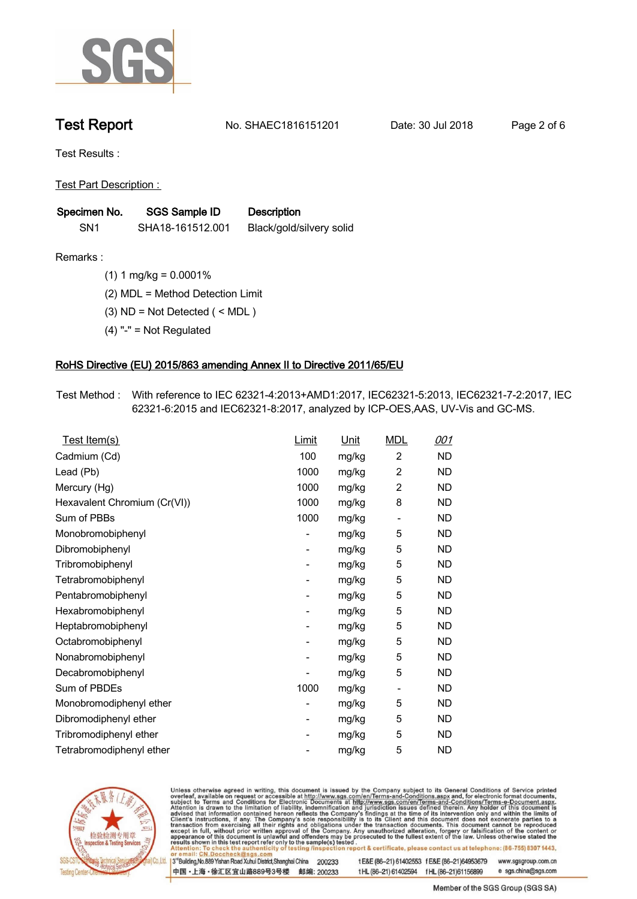

**Test Report. No. SHAEC1816151201 Date: 30 Jul 2018. Page 2 of 6.**

**Test Results :.**

**Test Part Description : .**

| Specimen No.    | <b>SGS Sample ID</b> | <b>Description</b>       |  |
|-----------------|----------------------|--------------------------|--|
| SN <sub>1</sub> | SHA18-161512.001     | Black/gold/silvery solid |  |

**Remarks :.(1) 1 mg/kg = 0.0001% .**

**(2) MDL = Method Detection Limit .**

**(3) ND = Not Detected ( < MDL ) .**

**(4) "-" = Not Regulated .**

### **RoHS Directive (EU) 2015/863 amending Annex II to Directive 2011/65/EU.**

**Test Method :. With reference to IEC 62321-4:2013+AMD1:2017, IEC62321-5:2013, IEC62321-7-2:2017, IEC 62321-6:2015 and IEC62321-8:2017, analyzed by ICP-OES,AAS, UV-Vis and GC-MS. .**

| <u>Test Item(s)</u>          | <b>Limit</b>             | <u>Unit</u> | <b>MDL</b>               | <u>001</u> |
|------------------------------|--------------------------|-------------|--------------------------|------------|
| Cadmium (Cd)                 | 100                      | mg/kg       | $\overline{c}$           | ND         |
| Lead (Pb)                    | 1000                     | mg/kg       | $\overline{c}$           | <b>ND</b>  |
| Mercury (Hg)                 | 1000                     | mg/kg       | $\overline{c}$           | ND         |
| Hexavalent Chromium (Cr(VI)) | 1000                     | mg/kg       | 8                        | ND.        |
| Sum of PBBs                  | 1000                     | mg/kg       | $\overline{\phantom{a}}$ | ND         |
| Monobromobiphenyl            | -                        | mg/kg       | 5                        | ND         |
| Dibromobiphenyl              | $\overline{\phantom{0}}$ | mg/kg       | 5                        | <b>ND</b>  |
| Tribromobiphenyl             | $\overline{\phantom{0}}$ | mg/kg       | 5                        | <b>ND</b>  |
| Tetrabromobiphenyl           | -                        | mg/kg       | 5                        | ND         |
| Pentabromobiphenyl           | $\overline{\phantom{0}}$ | mg/kg       | 5                        | ND         |
| Hexabromobiphenyl            | -                        | mg/kg       | 5                        | ND         |
| Heptabromobiphenyl           | $\overline{\phantom{0}}$ | mg/kg       | 5                        | <b>ND</b>  |
| Octabromobiphenyl            | -                        | mg/kg       | 5                        | <b>ND</b>  |
| Nonabromobiphenyl            | -                        | mg/kg       | 5                        | ND         |
| Decabromobiphenyl            | -                        | mg/kg       | 5                        | <b>ND</b>  |
| Sum of PBDEs                 | 1000                     | mg/kg       | -                        | ND         |
| Monobromodiphenyl ether      | -                        | mg/kg       | 5                        | ND         |
| Dibromodiphenyl ether        | ۰                        | mg/kg       | 5                        | <b>ND</b>  |
| Tribromodiphenyl ether       | -                        | mg/kg       | 5                        | ND         |
| Tetrabromodiphenyl ether     |                          | mg/kg       | 5                        | <b>ND</b>  |
|                              |                          |             |                          |            |



Unless otherwise agreed in writing, this document is issued by the Company subject to its General Conditions of Service printed overleaf, available on request or accessible at http://www.sgs.com/en/Terms-and-Conditions.asp

3<sup>rd</sup>Building, No.889 Yishan Road Xuhui District, Shanghai China 200233 中国·上海·徐汇区宜山路889号3号楼 邮编: 200233

t E&E (86-21) 61402553 f E&E (86-21)64953679 www.sgsgroup.com.cn t HL (86-21) 61402594 f HL (86-21) 61156899

e sgs.china@sgs.com Member of the SGS Group (SGS SA)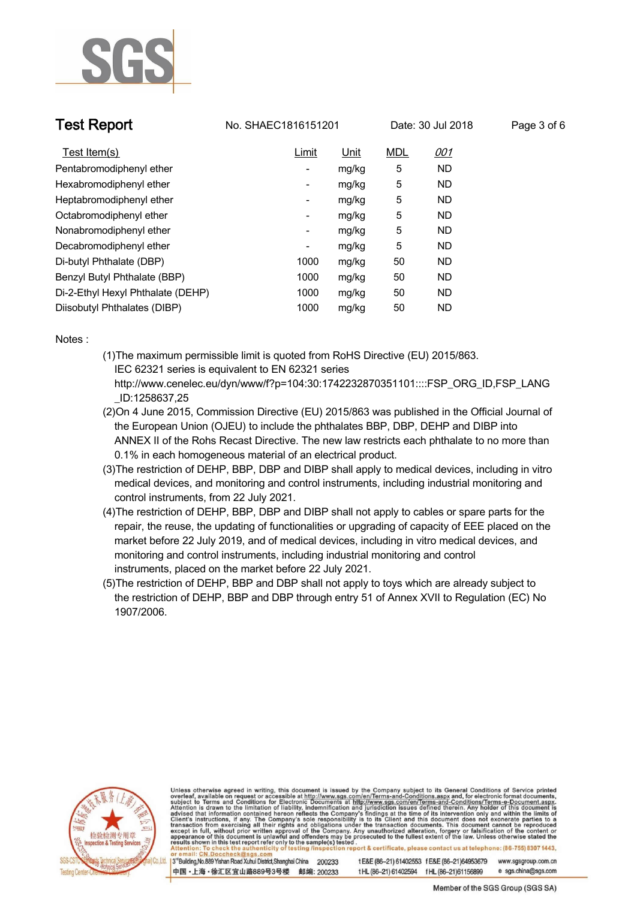

**Test Report. No. SHAEC1816151201** Date: 30 Jul 2018 Page 3 of 6

| Test Item(s)                      | Limit                    | <u>Unit</u> | <b>MDL</b> | <u>001</u> |
|-----------------------------------|--------------------------|-------------|------------|------------|
| Pentabromodiphenyl ether          | $\overline{\phantom{a}}$ | mg/kg       | 5          | <b>ND</b>  |
| Hexabromodiphenyl ether           | ۰                        | mg/kg       | 5          | <b>ND</b>  |
| Heptabromodiphenyl ether          | ۰                        | mg/kg       | 5          | <b>ND</b>  |
| Octabromodiphenyl ether           | ۰                        | mg/kg       | 5          | <b>ND</b>  |
| Nonabromodiphenyl ether           | ۰                        | mg/kg       | 5          | <b>ND</b>  |
| Decabromodiphenyl ether           | ۰                        | mg/kg       | 5          | <b>ND</b>  |
| Di-butyl Phthalate (DBP)          | 1000                     | mg/kg       | 50         | <b>ND</b>  |
| Benzyl Butyl Phthalate (BBP)      | 1000                     | mg/kg       | 50         | <b>ND</b>  |
| Di-2-Ethyl Hexyl Phthalate (DEHP) | 1000                     | mg/kg       | 50         | <b>ND</b>  |
| Diisobutyl Phthalates (DIBP)      | 1000                     | mg/kg       | 50         | <b>ND</b>  |

**Notes :.**

- **(1)The maximum permissible limit is quoted from RoHS Directive (EU) 2015/863. IEC 62321 series is equivalent to EN 62321 series http://www.cenelec.eu/dyn/www/f?p=104:30:1742232870351101::::FSP\_ORG\_ID,FSP\_LANG**
	- **\_ID:1258637,25**
- **(2)On 4 June 2015, Commission Directive (EU) 2015/863 was published in the Official Journal of the European Union (OJEU) to include the phthalates BBP, DBP, DEHP and DIBP into ANNEX II of the Rohs Recast Directive. The new law restricts each phthalate to no more than 0.1% in each homogeneous material of an electrical product.**
- **(3)The restriction of DEHP, BBP, DBP and DIBP shall apply to medical devices, including in vitro medical devices, and monitoring and control instruments, including industrial monitoring and control instruments, from 22 July 2021.**
- **(4)The restriction of DEHP, BBP, DBP and DIBP shall not apply to cables or spare parts for the repair, the reuse, the updating of functionalities or upgrading of capacity of EEE placed on the market before 22 July 2019, and of medical devices, including in vitro medical devices, and monitoring and control instruments, including industrial monitoring and control instruments, placed on the market before 22 July 2021.**
- **(5)The restriction of DEHP, BBP and DBP shall not apply to toys which are already subject to the restriction of DEHP, BBP and DBP through entry 51 of Annex XVII to Regulation (EC) No 1907/2006..**



Unless otherwise agreed in writing, this document is issued by the Company subject to its General Conditions of Service printed overleaf, available on request or accessible at http://www.sgs.com/en/Terms-and-Conditions.asp results shown in this test report refer only to the sample(s) tested on report & certificate, please contact us at telephone: (86-755) 8307 1443, esting /ins

3<sup>rd</sup>Building, No.889 Yishan Road Xuhui District, Shanghai China 200233 中国·上海·徐汇区宜山路889号3号楼 邮编: 200233 tE&E (86-21) 61402553 fE&E (86-21)64953679 www.sgsgroup.com.cn e sgs.china@sgs.com tHL (86-21) 61402594 fHL (86-21) 61156899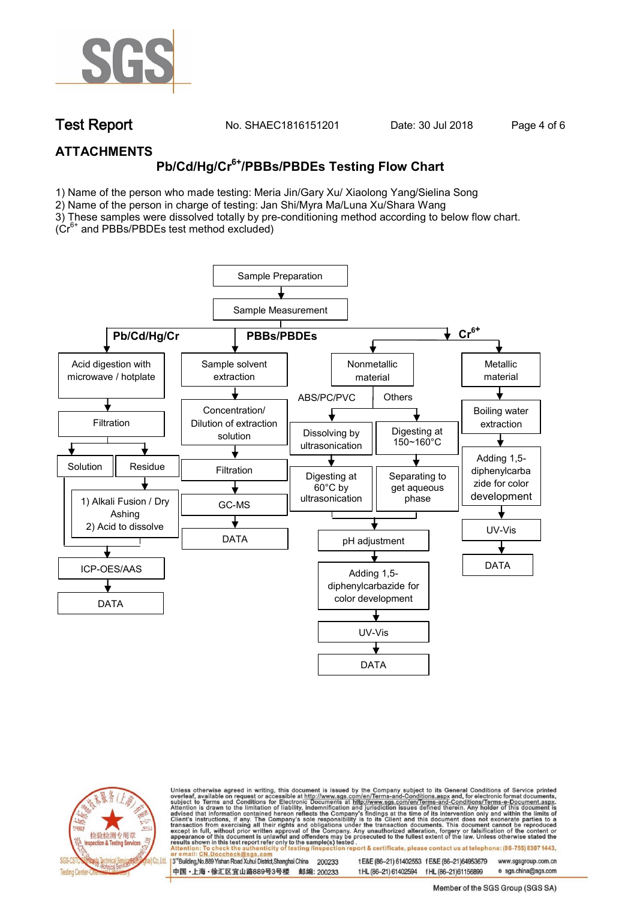

**Test Report. No. SHAEC1816151201** Date: 30 Jul 2018 Page 4 of 6

### **ATTACHMENTS**

# **Pb/Cd/Hg/Cr6+/PBBs/PBDEs Testing Flow Chart**

1) Name of the person who made testing: Meria Jin/Gary Xu/ Xiaolong Yang/Sielina Song

2) Name of the person in charge of testing: Jan Shi/Myra Ma/Luna Xu/Shara Wang

3) These samples were dissolved totally by pre-conditioning method according to below flow chart.

( $Cr<sup>6+</sup>$  and PBBs/PBDEs test method excluded)





Unless otherwise agreed in writing, this document is issued by the Company subject to its General Conditions of Service printed overleaf, available on request or accessible at http://www.sgs.com/en/Terms-and-Conditions.asp ion report & certificate, please contact us at telephone: (86-755) 8307 1443, esting/ins

13<sup>rd</sup> Building, No.889 Yishan Road Xuhui District, Shanghai China 200233 中国·上海·徐汇区宜山路889号3号楼 邮编: 200233 tE&E (86-21) 61402553 fE&E (86-21)64953679 www.sgsgroup.com.cn

t HL (86-21) 61402594 f HL (86-21)61156899 e sgs.china@sgs.com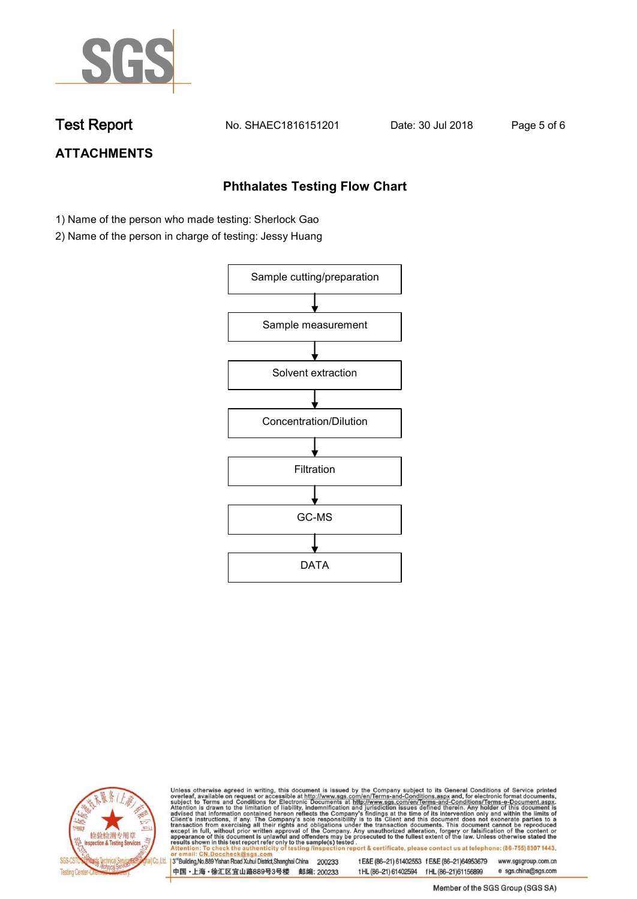

**Test Report. No. SHAEC1816151201 Date: 30 Jul 2018. Page 5 of 6.**

# **ATTACHMENTS**

## **Phthalates Testing Flow Chart**

- 1) Name of the person who made testing: Sherlock Gao
- 2) Name of the person in charge of testing: Jessy Huang





Unless otherwise agreed in writing, this document is issued by the Company subject to its General Conditions of Service printed overleaf, available on request or accessible at http://www.sgs.com/en/Terms-and-Conditions.asp

3<sup>rd</sup>Building, No.889 Yishan Road Xuhui District, Shanghai China 200233 中国·上海·徐汇区宜山路889号3号楼 邮编: 200233 t E&E (86-21) 61402553 f E&E (86-21)64953679 www.sgsgroup.com.cn t HL (86-21) 61402594 f HL (86-21) 61156899 e sgs.china@sgs.com